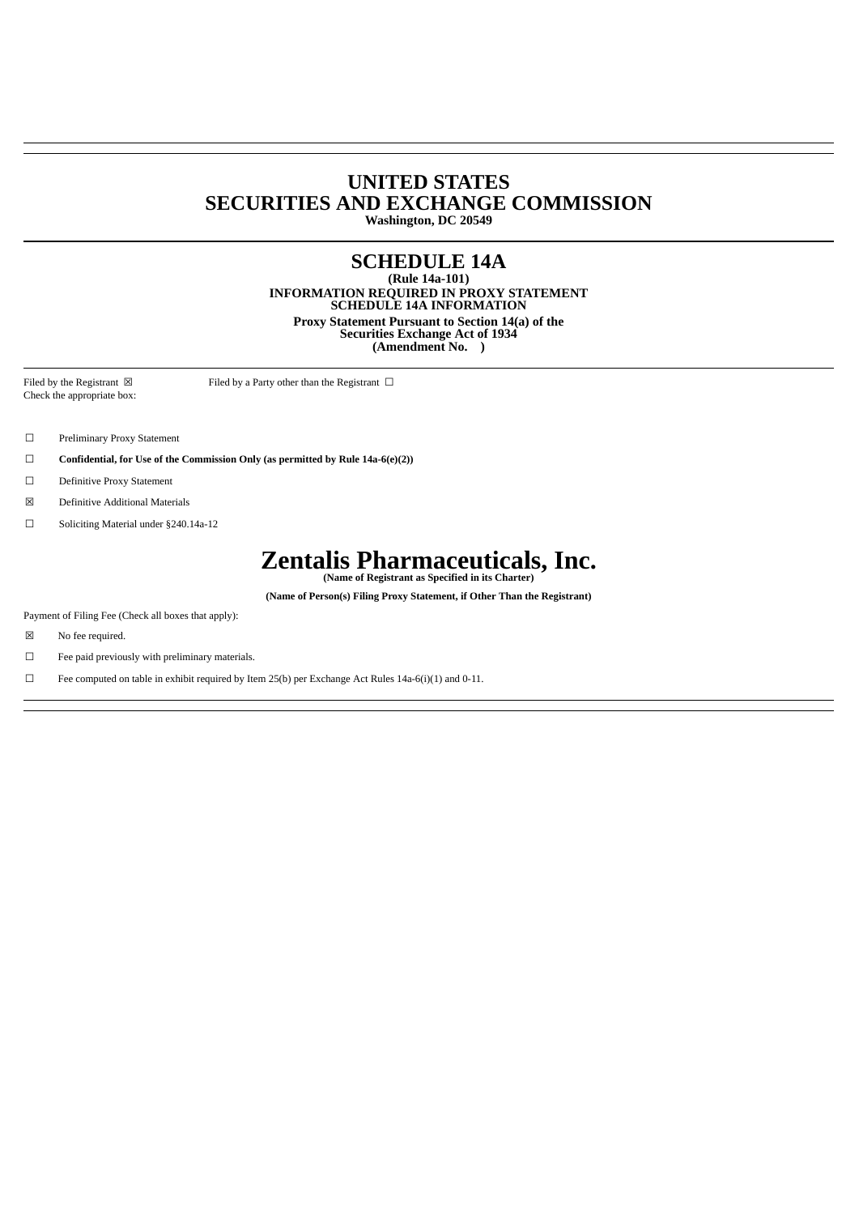### **UNITED STATES SECURITIES AND EXCHANGE COMMISSION Washington, DC 20549**

## **SCHEDULE 14A**

**(Rule 14a-101) INFORMATION REQUIRED IN PROXY STATEMENT SCHEDULE 14A INFORMATION Proxy Statement Pursuant to Section 14(a) of the Securities Exchange Act of 1934 (Amendment No. )**

Filed by the Registrant  $\boxtimes$  Filed by a Party other than the Registrant  $\Box$ Check the appropriate box:

- ☐ Preliminary Proxy Statement
- ☐ **Confidential, for Use of the Commission Only (as permitted by Rule 14a-6(e)(2))**
- ☐ Definitive Proxy Statement
- ☒ Definitive Additional Materials
- ☐ Soliciting Material under §240.14a-12

# **Zentalis Pharmaceuticals, Inc. (Name of Registrant as Specified in its Charter)**

**(Name of Person(s) Filing Proxy Statement, if Other Than the Registrant)**

Payment of Filing Fee (Check all boxes that apply):

- ☒ No fee required.
- ☐ Fee paid previously with preliminary materials.

 $\Box$  Fee computed on table in exhibit required by Item 25(b) per Exchange Act Rules 14a-6(i)(1) and 0-11.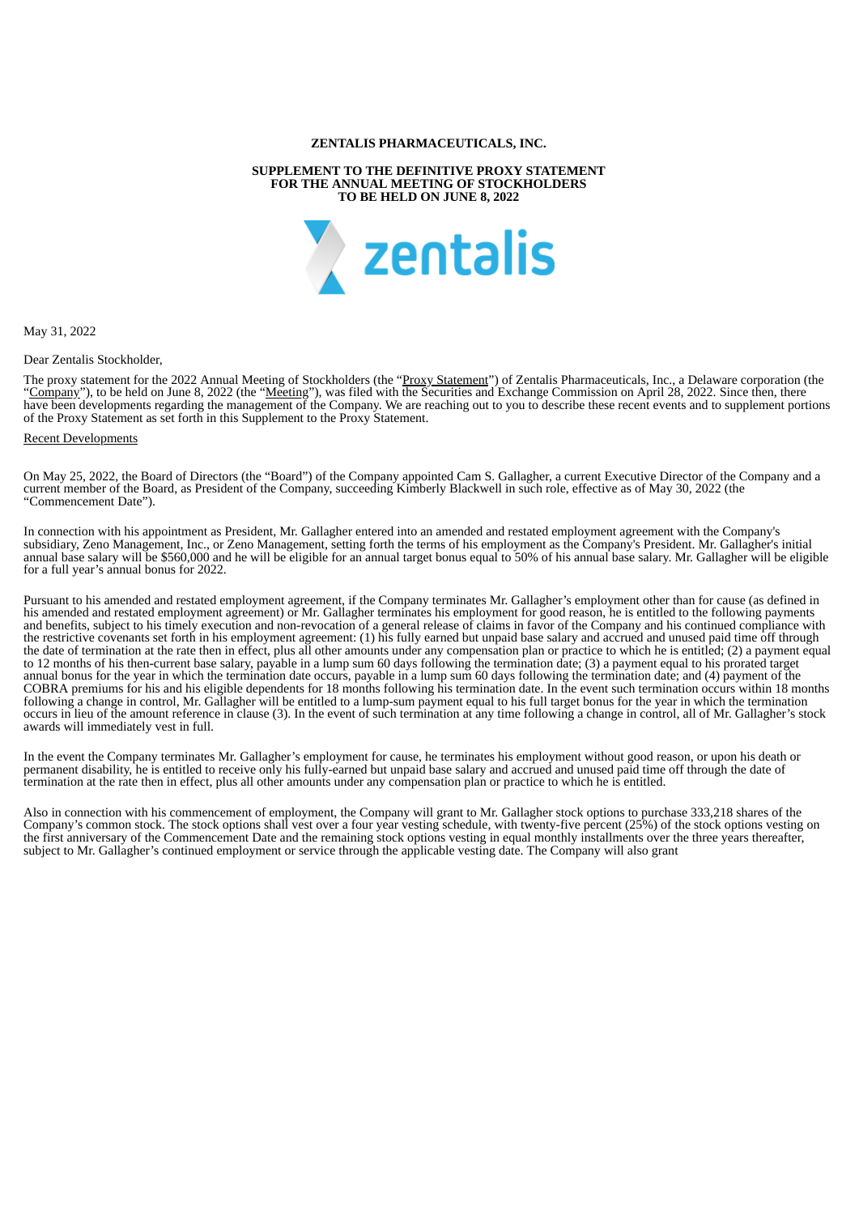#### **ZENTALIS PHARMACEUTICALS, INC.**

#### **SUPPLEMENT TO THE DEFINITIVE PROXY STATEMENT FOR THE ANNUAL MEETING OF STOCKHOLDERS TO BE HELD ON JUNE 8, 2022**



May 31, 2022

Dear Zentalis Stockholder,

The proxy statement for the 2022 Annual Meeting of Stockholders (the "Proxy Statement") of Zentalis Pharmaceuticals, Inc., a Delaware corporation (the "Company"), to be held on June 8, 2022 (the "Meeting"), was filed with the Securities and Exchange Commission on April 28, 2022. Since then, there have been developments regarding the management of the Company. We are reaching out to you to describe these recent events and to supplement portions of the Proxy Statement as set forth in this Supplement to the Proxy Statement.

#### Recent Developments

On May 25, 2022, the Board of Directors (the "Board") of the Company appointed Cam S. Gallagher, a current Executive Director of the Company and a current member of the Board, as President of the Company, succeeding Kimberly Blackwell in such role, effective as of May 30, 2022 (the "Commencement Date").

In connection with his appointment as President, Mr. Gallagher entered into an amended and restated employment agreement with the Company's subsidiary, Zeno Management, Inc., or Zeno Management, setting forth the terms of his employment as the Company's President. Mr. Gallagher's initial annual base salary will be \$560,000 and he will be eligible for an annual target bonus equal to 50% of his annual base salary. Mr. Gallagher will be eligible for a full year's annual bonus for 2022.

Pursuant to his amended and restated employment agreement, if the Company terminates Mr. Gallagher's employment other than for cause (as defined in his amended and restated employment agreement) or Mr. Gallagher terminates his employment for good reason, he is entitled to the following payments and benefits, subject to his timely execution and non-revocation of a general release of claims in favor of the Company and his continued compliance with the restrictive covenants set forth in his employment agreement: (1) his fully earned but unpaid base salary and accrued and unused paid time off through the date of termination at the rate then in effect, plus all other amounts under any compensation plan or practice to which he is entitled; (2) a payment equal to 12 months of his then-current base salary, payable in a lump sum 60 days following the termination date; (3) a payment equal to his prorated target annual bonus for the year in which the termination date occurs, payable in a lump sum 60 days following the termination date; and (4) payment of the COBRA premiums for his and his eligible dependents for 18 months following his termination date. In the event such termination occurs within 18 months following a change in control, Mr. Gallagher will be entitled to a lump-sum payment equal to his full target bonus for the year in which the termination occurs in lieu of the amount reference in clause (3). In the event of such termination at any time following a change in control, all of Mr. Gallagher's stock awards will immediately vest in full.

In the event the Company terminates Mr. Gallagher's employment for cause, he terminates his employment without good reason, or upon his death or permanent disability, he is entitled to receive only his fully-earned but unpaid base salary and accrued and unused paid time off through the date of termination at the rate then in effect, plus all other amounts under any compensation plan or practice to which he is entitled.

Also in connection with his commencement of employment, the Company will grant to Mr. Gallagher stock options to purchase 333,218 shares of the Company's common stock. The stock options shall vest over a four year vesting schedule, with twenty-five percent (25%) of the stock options vesting on the first anniversary of the Commencement Date and the remaining stock options vesting in equal monthly installments over the three years thereafter, subject to Mr. Gallagher's continued employment or service through the applicable vesting date. The Company will also grant